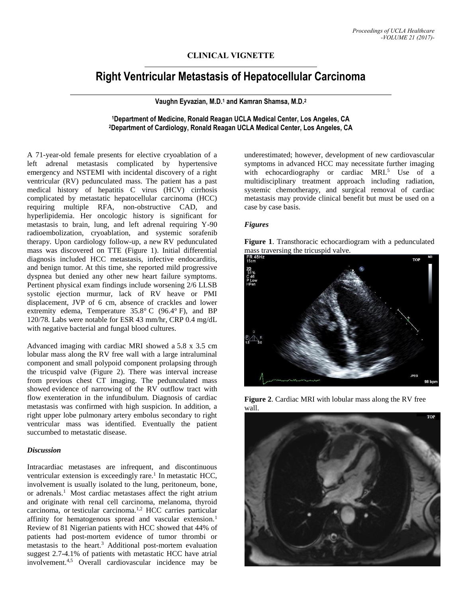# **CLINICAL VIGNETTE**

# **Right Ventricular Metastasis of Hepatocellular Carcinoma**

## **Vaughn Eyvazian, M.D.<sup>1</sup> and Kamran Shamsa, M.D.<sup>2</sup>**

## **<sup>1</sup>Department of Medicine, Ronald Reagan UCLA Medical Center, Los Angeles, CA <sup>2</sup>Department of Cardiology, Ronald Reagan UCLA Medical Center, Los Angeles, CA**

A 71-year-old female presents for elective cryoablation of a left adrenal metastasis complicated by hypertensive emergency and NSTEMI with incidental discovery of a right ventricular (RV) pedunculated mass. The patient has a past medical history of hepatitis C virus (HCV) cirrhosis complicated by metastatic hepatocellular carcinoma (HCC) requiring multiple RFA, non-obstructive CAD, and hyperlipidemia. Her oncologic history is significant for metastasis to brain, lung, and left adrenal requiring Y-90 radioembolization, cryoablation, and systemic sorafenib therapy. Upon cardiology follow-up, a new RV pedunculated mass was discovered on TTE (Figure 1). Initial differential diagnosis included HCC metastasis, infective endocarditis, and benign tumor. At this time, she reported mild progressive dyspnea but denied any other new heart failure symptoms. Pertinent physical exam findings include worsening 2/6 LLSB systolic ejection murmur, lack of RV heave or PMI displacement, JVP of 6 cm, absence of crackles and lower extremity edema, Temperature 35.8° C (96.4° F), and BP 120/78. Labs were notable for ESR 43 mm/hr, CRP 0.4 mg/dL with negative bacterial and fungal blood cultures.

Advanced imaging with cardiac MRI showed a 5.8 x 3.5 cm lobular mass along the RV free wall with a large intraluminal component and small polypoid component prolapsing through the tricuspid valve (Figure 2). There was interval increase from previous chest CT imaging. The pedunculated mass showed evidence of narrowing of the RV outflow tract with flow exenteration in the infundibulum. Diagnosis of cardiac metastasis was confirmed with high suspicion. In addition, a right upper lobe pulmonary artery embolus secondary to right ventricular mass was identified. Eventually the patient succumbed to metastatic disease.

#### *Discussion*

Intracardiac metastases are infrequent, and discontinuous ventricular extension is exceedingly rare.<sup>1</sup> In metastatic HCC, involvement is usually isolated to the lung, peritoneum, bone, or adrenals.<sup>1</sup> Most cardiac metastases affect the right atrium and originate with renal cell carcinoma, melanoma, thyroid carcinoma, or testicular carcinoma.1,2 HCC carries particular affinity for hematogenous spread and vascular extension.<sup>1</sup> Review of 81 Nigerian patients with HCC showed that 44% of patients had post-mortem evidence of tumor thrombi or metastasis to the heart.<sup>3</sup> Additional post-mortem evaluation suggest 2.7-4.1% of patients with metastatic HCC have atrial involvement.4,5 Overall cardiovascular incidence may be

underestimated; however, development of new cardiovascular symptoms in advanced HCC may necessitate further imaging with echocardiography or cardiac MRI.<sup>5</sup> Use of a multidisciplinary treatment approach including radiation, systemic chemotherapy, and surgical removal of cardiac metastasis may provide clinical benefit but must be used on a case by case basis.

#### *Figures*

**Figure 1**. Transthoracic echocardiogram with a pedunculated



**Figure 2**. Cardiac MRI with lobular mass along the RV free wall.